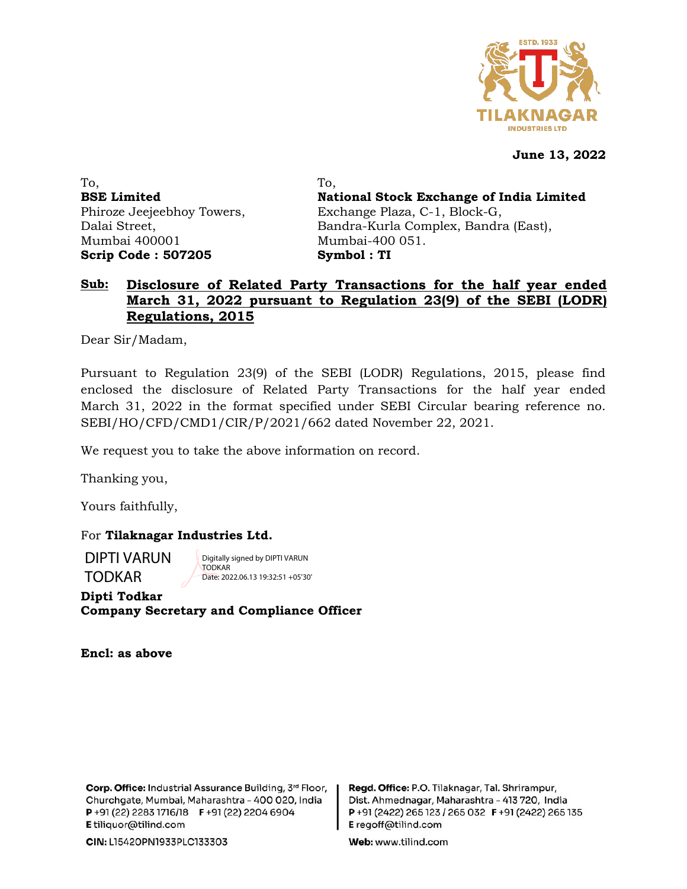

**June 13, 2022**

To, **BSE Limited** Phiroze Jeejeebhoy Towers, Dalai Street, Mumbai 400001 **Scrip Code : 507205**

To, **National Stock Exchange of India Limited** Exchange Plaza, C-1, Block-G, Bandra-Kurla Complex, Bandra (East), Mumbai-400 051. **Symbol : TI**

## **Sub: Disclosure of Related Party Transactions for the half year ended March 31, 2022 pursuant to Regulation 23(9) of the SEBI (LODR) Regulations, 2015**

Dear Sir/Madam,

Pursuant to Regulation 23(9) of the SEBI (LODR) Regulations, 2015, please find enclosed the disclosure of Related Party Transactions for the half year ended March 31, 2022 in the format specified under SEBI Circular bearing reference no. SEBI/HO/CFD/CMD1/CIR/P/2021/662 dated November 22, 2021.

We request you to take the above information on record.

Thanking you,

Yours faithfully,

For **Tilaknagar Industries Ltd.**

DIPTI VARUN TODKAR

Digitally signed by DIPTI VARUN **TODKAR** Date: 2022.06.13 19:32:51 +05'30'

**Dipti Todkar Company Secretary and Compliance Officer**

**Encl: as above**

Corp. Office: Industrial Assurance Building, 3rd Floor, Churchgate, Mumbai, Maharashtra - 400 020, India P+91 (22) 2283 1716/18 F+91 (22) 2204 6904 E tiliquor@tilind.com

Regd. Office: P.O. Tilaknagar, Tal. Shrirampur, Dist. Ahmednagar, Maharashtra - 413 720, India P+91 (2422) 265 123 / 265 032 F+91 (2422) 265 135 E regoff@tilind.com

Web: www.tilind.com

CIN: L15420PN1933PLC133303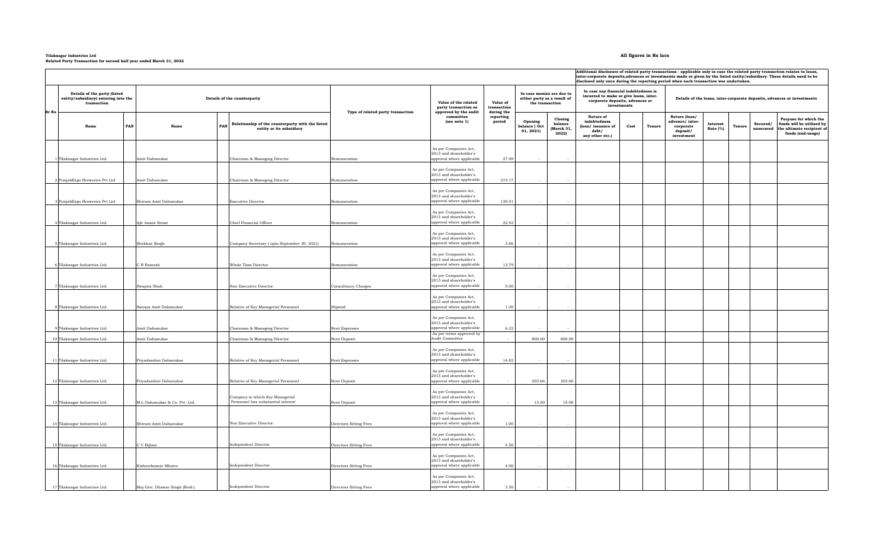## **Tilaknagar Industries Ltd All figures in Rs lacs Related Party Transaction for second half year ended March 31, 2022**

|                                                                                     |     |                                |                                                                                     |                                   |                                                                              |                                   |                                                                             |                                           | Additional disclosure of related party transactions - applicable only in case the related party transaction relates to loans,<br>inter-corporate deposits, advances or investments made or given by the listed entity/subsidiary. These details need to be<br>disclosed only once during the reporting period when such transaction was undertaken. |                |                                                                         |                                       |                       |                                                                                                      |  |  |  |  |
|-------------------------------------------------------------------------------------|-----|--------------------------------|-------------------------------------------------------------------------------------|-----------------------------------|------------------------------------------------------------------------------|-----------------------------------|-----------------------------------------------------------------------------|-------------------------------------------|-----------------------------------------------------------------------------------------------------------------------------------------------------------------------------------------------------------------------------------------------------------------------------------------------------------------------------------------------------|----------------|-------------------------------------------------------------------------|---------------------------------------|-----------------------|------------------------------------------------------------------------------------------------------|--|--|--|--|
| Details of the party (listed<br>entity/subsidiary) entering into the<br>transaction |     | Details of the counterparty    |                                                                                     |                                   | Value of the related<br>party transaction as                                 | Value of<br>transaction           | In case monies are due to<br>either party as a result of<br>the transaction |                                           | In case any financial indebtedness is<br>incurred to make or give loans, inter-<br>corporate deposits, advances or<br>investments                                                                                                                                                                                                                   |                | Details of the loans, inter-corporate deposits, advances or investments |                                       |                       |                                                                                                      |  |  |  |  |
| Sr No<br>Name                                                                       | PAN | Name                           | Relationship of the counterparty with the listed<br>PAN<br>entity or its subsidiary | Type of related party transaction | approved by the audit<br>committee<br>(see note 1)                           | during the<br>reporting<br>period | Opening<br>balance (Oct<br>01, 2021                                         | Closing<br>balance<br>(March 31,<br>2022) | Nature of<br>indebtedness<br>(loan/ issuance of<br>debt/<br>any other etc.)                                                                                                                                                                                                                                                                         | Cost<br>Tenure | Nature (loan/<br>advance/inter-<br>corporate<br>deposit/<br>investment  | <b>Interest</b><br>Tenure<br>Rate (%) | Secured/<br>unsecured | Purpose for which the<br>funds will be utilised by<br>the ultimate recipient of<br>funds (end-usage) |  |  |  |  |
| 1 Tilaknagar Industries Ltd.                                                        |     | Amit Dahanukar                 | Chairman & Managing Director                                                        | Remuneration                      | As per Companies Act,<br>2013 and shareholder's<br>approval where applicable | 27.98                             |                                                                             |                                           |                                                                                                                                                                                                                                                                                                                                                     |                |                                                                         |                                       |                       |                                                                                                      |  |  |  |  |
|                                                                                     |     |                                |                                                                                     |                                   |                                                                              |                                   |                                                                             |                                           |                                                                                                                                                                                                                                                                                                                                                     |                |                                                                         |                                       |                       |                                                                                                      |  |  |  |  |
| 2 PunjabExpo Breweries Pvt Ltd                                                      |     | Amit Dahanukar                 | Chairman & Managing Director                                                        | Remuneration                      | As per Companies Act,<br>2013 and shareholder's<br>approval where applicable | 219.17                            |                                                                             |                                           |                                                                                                                                                                                                                                                                                                                                                     |                |                                                                         |                                       |                       |                                                                                                      |  |  |  |  |
|                                                                                     |     |                                |                                                                                     |                                   | As per Companies Act,                                                        |                                   |                                                                             |                                           |                                                                                                                                                                                                                                                                                                                                                     |                |                                                                         |                                       |                       |                                                                                                      |  |  |  |  |
| 3 PunjabExpo Breweries Pvt Ltd                                                      |     | Shivani Amit Dahanukar         | Executive Director                                                                  | Remuneration                      | 2013 and shareholder's<br>approval where applicable                          | 138.91                            |                                                                             |                                           |                                                                                                                                                                                                                                                                                                                                                     |                |                                                                         |                                       |                       |                                                                                                      |  |  |  |  |
|                                                                                     |     |                                |                                                                                     |                                   |                                                                              |                                   |                                                                             |                                           |                                                                                                                                                                                                                                                                                                                                                     |                |                                                                         |                                       |                       |                                                                                                      |  |  |  |  |
|                                                                                     |     |                                |                                                                                     |                                   | As per Companies Act,<br>2013 and shareholder's                              |                                   |                                                                             |                                           |                                                                                                                                                                                                                                                                                                                                                     |                |                                                                         |                                       |                       |                                                                                                      |  |  |  |  |
| 4 Tilaknagar Industries Ltd.                                                        |     | Ajit Anant Sirsat              | Chief Financial Officer                                                             | Remuneration                      | approval where applicable                                                    | 22.92                             |                                                                             |                                           |                                                                                                                                                                                                                                                                                                                                                     |                |                                                                         |                                       |                       |                                                                                                      |  |  |  |  |
| 5 Tilaknagar Industries Ltd.                                                        |     | Shekhar Singh                  | Company Secretary (upto September 30, 2021)                                         | Remuneration                      | As per Companies Act,<br>2013 and shareholder's<br>approval where applicable | 3.86                              |                                                                             |                                           |                                                                                                                                                                                                                                                                                                                                                     |                |                                                                         |                                       |                       |                                                                                                      |  |  |  |  |
|                                                                                     |     |                                |                                                                                     |                                   |                                                                              |                                   |                                                                             |                                           |                                                                                                                                                                                                                                                                                                                                                     |                |                                                                         |                                       |                       |                                                                                                      |  |  |  |  |
|                                                                                     |     |                                |                                                                                     |                                   | As per Companies Act,<br>2013 and shareholder's                              |                                   |                                                                             |                                           |                                                                                                                                                                                                                                                                                                                                                     |                |                                                                         |                                       |                       |                                                                                                      |  |  |  |  |
| 6 Tilaknagar Industries Ltd.                                                        |     | C R Ramesh                     | Whole Time Director                                                                 | Remuneration                      | approval where applicable                                                    | 13.79                             |                                                                             |                                           |                                                                                                                                                                                                                                                                                                                                                     |                |                                                                         |                                       |                       |                                                                                                      |  |  |  |  |
| 7 Tilaknagar Industries Ltd.                                                        |     | Swapna Shah                    | Non Executive Director                                                              | <b>Consultancy Charges</b>        | As per Companies Act,<br>2013 and shareholder's<br>approval where applicable | 9.00                              |                                                                             |                                           |                                                                                                                                                                                                                                                                                                                                                     |                |                                                                         |                                       |                       |                                                                                                      |  |  |  |  |
| 8 Tilaknagar Industries Ltd.                                                        |     | Sanaya Amit Dahanukar          | Relative of Key Managerial Personnel                                                | Stipend                           | As per Companies Act,<br>2013 and shareholder's<br>approval where applicable | 1.20                              |                                                                             |                                           |                                                                                                                                                                                                                                                                                                                                                     |                |                                                                         |                                       |                       |                                                                                                      |  |  |  |  |
|                                                                                     |     |                                |                                                                                     |                                   |                                                                              |                                   |                                                                             |                                           |                                                                                                                                                                                                                                                                                                                                                     |                |                                                                         |                                       |                       |                                                                                                      |  |  |  |  |
|                                                                                     |     |                                |                                                                                     |                                   | As per Companies Act,<br>2013 and shareholder's                              |                                   |                                                                             |                                           |                                                                                                                                                                                                                                                                                                                                                     |                |                                                                         |                                       |                       |                                                                                                      |  |  |  |  |
| 9 Tilaknagar Industries Ltd.                                                        |     | Amit Dahanukar                 | Chairman & Managing Director                                                        | <b>Rent Expenses</b>              | approval where applicable                                                    | 6.22                              |                                                                             |                                           |                                                                                                                                                                                                                                                                                                                                                     |                |                                                                         |                                       |                       |                                                                                                      |  |  |  |  |
| 10 Tilaknagar Industries Ltd.                                                       |     | Amit Dahanukar                 | Chairman & Managing Director                                                        | Rent Deposit                      | As per terms approved by<br>Audit Committee                                  |                                   | 800.00                                                                      | 800.00                                    |                                                                                                                                                                                                                                                                                                                                                     |                |                                                                         |                                       |                       |                                                                                                      |  |  |  |  |
|                                                                                     |     |                                |                                                                                     |                                   | As per Companies Act,<br>2013 and shareholder's                              |                                   |                                                                             |                                           |                                                                                                                                                                                                                                                                                                                                                     |                |                                                                         |                                       |                       |                                                                                                      |  |  |  |  |
| 11 Tilaknagar Industries Ltd.                                                       |     | Privadarshni Dahanukar         | Relative of Key Managerial Personnel                                                | Rent Expenses                     | approval where applicable                                                    | 14.82                             |                                                                             |                                           |                                                                                                                                                                                                                                                                                                                                                     |                |                                                                         |                                       |                       |                                                                                                      |  |  |  |  |
|                                                                                     |     |                                |                                                                                     |                                   | As per Companies Act,<br>2013 and shareholder's                              |                                   |                                                                             |                                           |                                                                                                                                                                                                                                                                                                                                                     |                |                                                                         |                                       |                       |                                                                                                      |  |  |  |  |
| 12 Tilaknagar Industries Ltd.                                                       |     | Priyadarshni Dahanukar         | Relative of Key Managerial Personnel                                                | Rent Deposit                      | approval where applicable                                                    |                                   | 203.66                                                                      | 203.66                                    |                                                                                                                                                                                                                                                                                                                                                     |                |                                                                         |                                       |                       |                                                                                                      |  |  |  |  |
| 13 Tilaknagar Industries Ltd.                                                       |     | M.L.Dahanukar & Co. Pvt. Ltd.  | Company in which Key Managerial<br>Personnel has substantial interest               | Rent Deposit                      | As per Companies Act,<br>2013 and shareholder's<br>approval where applicable |                                   | 15.00                                                                       | 15.00                                     |                                                                                                                                                                                                                                                                                                                                                     |                |                                                                         |                                       |                       |                                                                                                      |  |  |  |  |
|                                                                                     |     |                                |                                                                                     |                                   |                                                                              |                                   |                                                                             |                                           |                                                                                                                                                                                                                                                                                                                                                     |                |                                                                         |                                       |                       |                                                                                                      |  |  |  |  |
|                                                                                     |     |                                |                                                                                     |                                   | As per Companies Act,<br>2013 and shareholder's                              |                                   |                                                                             |                                           |                                                                                                                                                                                                                                                                                                                                                     |                |                                                                         |                                       |                       |                                                                                                      |  |  |  |  |
| 14 Tilaknagar Industries Ltd.                                                       |     | Shivani Amit Dahanukar         | Non Executive Director                                                              | Directors Sitting Fees            | approval where applicable                                                    | 1.00                              |                                                                             |                                           |                                                                                                                                                                                                                                                                                                                                                     |                |                                                                         |                                       |                       |                                                                                                      |  |  |  |  |
| 15 Tilaknagar Industries Ltd.                                                       |     | C.V.Bijlani                    | <b>Independent Director</b>                                                         | Directors Sitting Fees            | As per Companies Act,<br>2013 and shareholder's<br>approval where applicable | 4.50                              |                                                                             |                                           |                                                                                                                                                                                                                                                                                                                                                     |                |                                                                         |                                       |                       |                                                                                                      |  |  |  |  |
|                                                                                     |     |                                |                                                                                     |                                   | As per Companies Act,<br>2013 and shareholder's                              |                                   |                                                                             |                                           |                                                                                                                                                                                                                                                                                                                                                     |                |                                                                         |                                       |                       |                                                                                                      |  |  |  |  |
| 16 Tilaknagar Industries Ltd.                                                       |     | Kishorekumar Mhatre            | Independent Director                                                                | Directors Sitting Fees            | approval where applicable                                                    | 4.00                              |                                                                             |                                           |                                                                                                                                                                                                                                                                                                                                                     |                |                                                                         |                                       |                       |                                                                                                      |  |  |  |  |
| 17 Tilaknagar Industries Ltd.                                                       |     | Maj Gen. Dilawar Singh (Retd.) | Independent Director                                                                | Directors Sitting Fees            | As per Companies Act,<br>2013 and shareholder's<br>approval where applicable | 3.50                              |                                                                             |                                           |                                                                                                                                                                                                                                                                                                                                                     |                |                                                                         |                                       |                       |                                                                                                      |  |  |  |  |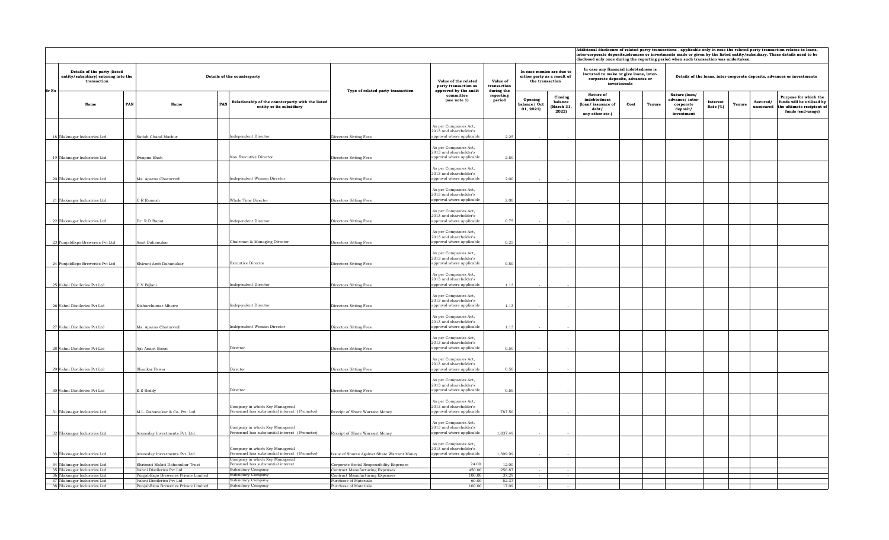|                                                                                     |                                                              |                                                                                                                     |                                                                                    |                                                                                                       |                                                              |                                                                             |                                           |                                                                                                                                        | Additional disclosure of related party transactions - applicable only in case the related party transaction relates to loans,<br>inter-corporate deposits, advances or investments made or given by the listed entity/subsidiary. These details need to be<br>disclosed only once during the reporting period when such transaction was undertaken. |        |                                                                         |                                |                                                                                                                            |  |  |  |  |  |
|-------------------------------------------------------------------------------------|--------------------------------------------------------------|---------------------------------------------------------------------------------------------------------------------|------------------------------------------------------------------------------------|-------------------------------------------------------------------------------------------------------|--------------------------------------------------------------|-----------------------------------------------------------------------------|-------------------------------------------|----------------------------------------------------------------------------------------------------------------------------------------|-----------------------------------------------------------------------------------------------------------------------------------------------------------------------------------------------------------------------------------------------------------------------------------------------------------------------------------------------------|--------|-------------------------------------------------------------------------|--------------------------------|----------------------------------------------------------------------------------------------------------------------------|--|--|--|--|--|
| Details of the party (listed<br>entity/subsidiary) entering into the<br>transaction |                                                              | Details of the counterparty                                                                                         | Type of related party transaction                                                  | Value of the related<br>party transaction as<br>approved by the audit<br>committee<br>(see note 1)    | Value of<br>transaction<br>during the<br>reporting<br>period | In case monies are due to<br>either party as a result of<br>the transaction |                                           | In case any financial indebtedness is<br>incurred to make or give loans, inter-<br>corporate deposits, advances or<br>$\,$ investments |                                                                                                                                                                                                                                                                                                                                                     |        | Details of the loans, inter-corporate deposits, advances or investments |                                |                                                                                                                            |  |  |  |  |  |
| Name                                                                                | PAN<br><b>PAN</b><br>Name                                    | Relationship of the counterparty with the listed<br>entity or its subsidiary                                        |                                                                                    |                                                                                                       |                                                              | Opening<br>balance ( Oct<br>01, 2021                                        | Closing<br>balance<br>(March 31.<br>2022) | Nature of<br>indebtedness<br>(loan/issuance of<br>debt/<br>any other etc.)                                                             | Cost                                                                                                                                                                                                                                                                                                                                                | Tenure | Nature (loan)<br>advance/inter-<br>corporate<br>deposit/<br>investment  | Interest<br>Tenure<br>Rate (%) | Purpose for which the<br>Secured/<br>funds will be utilised by<br>unsecured the ultimate recipient of<br>funds (end-usage) |  |  |  |  |  |
| 18 Tilaknagar Industries Ltd.                                                       | Satish Chand Mathur                                          | Independent Director                                                                                                | Directors Sitting Fees                                                             | As per Companies Act,<br>2013 and shareholder's<br>approval where applicable                          | 2.25                                                         |                                                                             |                                           |                                                                                                                                        |                                                                                                                                                                                                                                                                                                                                                     |        |                                                                         |                                |                                                                                                                            |  |  |  |  |  |
| 19 Tilaknagar Industries Ltd.                                                       | Swapna Shah                                                  | Non Executive Director                                                                                              | Directors Sitting Fees                                                             | As per Companies Act,<br>2013 and shareholder's<br>approval where applicable                          | 2.50                                                         |                                                                             |                                           |                                                                                                                                        |                                                                                                                                                                                                                                                                                                                                                     |        |                                                                         |                                |                                                                                                                            |  |  |  |  |  |
| 20 Tilaknagar Industries Ltd.                                                       | Ms. Aparna Chaturvedi                                        | Independent Woman Director                                                                                          | Directors Sitting Fees                                                             | As per Companies Act,<br>2013 and shareholder's<br>approval where applicable                          | 2.00                                                         |                                                                             |                                           |                                                                                                                                        |                                                                                                                                                                                                                                                                                                                                                     |        |                                                                         |                                |                                                                                                                            |  |  |  |  |  |
| 21 Tilaknagar Industries Ltd.                                                       | C R Ramesh                                                   | Whole Time Director                                                                                                 | Directors Sitting Fees                                                             | As per Companies Act,<br>2013 and shareholder's<br>approval where applicable                          | 2.00                                                         |                                                                             |                                           |                                                                                                                                        |                                                                                                                                                                                                                                                                                                                                                     |        |                                                                         |                                |                                                                                                                            |  |  |  |  |  |
| 22 Tilaknagar Industries Ltd.                                                       | Dr. R D Bapat                                                | <b>Independent Director</b>                                                                                         | Directors Sitting Fees                                                             | As per Companies Act,<br>2013 and shareholder's<br>approval where applicable                          | 0.75                                                         |                                                                             |                                           |                                                                                                                                        |                                                                                                                                                                                                                                                                                                                                                     |        |                                                                         |                                |                                                                                                                            |  |  |  |  |  |
| 23 PunjabExpo Breweries Pvt Ltd                                                     | Amit Dahanukar                                               | Chairman & Managing Director                                                                                        | Directors Sitting Fees                                                             | As per Companies Act,<br>2013 and shareholder's<br>approval where applicable                          | 0.25                                                         |                                                                             |                                           |                                                                                                                                        |                                                                                                                                                                                                                                                                                                                                                     |        |                                                                         |                                |                                                                                                                            |  |  |  |  |  |
| 24 PunjabExpo Breweries Pvt Ltd                                                     | Shivani Amit Dahanukar                                       | <b>Executive Director</b>                                                                                           | Directors Sitting Fees                                                             | As per Companies Act,<br>2013 and shareholder's<br>approval where applicable                          | 0.50                                                         |                                                                             |                                           |                                                                                                                                        |                                                                                                                                                                                                                                                                                                                                                     |        |                                                                         |                                |                                                                                                                            |  |  |  |  |  |
| 25 Vahni Distileries Pvt Ltd                                                        | C.V.Bijlani                                                  | Independent Director                                                                                                | Directors Sitting Fees                                                             | As per Companies Act,<br>2013 and shareholder's<br>approval where applicable                          | 1.13                                                         |                                                                             |                                           |                                                                                                                                        |                                                                                                                                                                                                                                                                                                                                                     |        |                                                                         |                                |                                                                                                                            |  |  |  |  |  |
| 26 Vahni Distileries Pvt Ltd                                                        | Kishorekumar Mhatre                                          | Independent Director                                                                                                | Directors Sitting Fees                                                             | As per Companies Act,<br>2013 and shareholder's<br>approval where applicable<br>As per Companies Act, | 1.13                                                         |                                                                             |                                           |                                                                                                                                        |                                                                                                                                                                                                                                                                                                                                                     |        |                                                                         |                                |                                                                                                                            |  |  |  |  |  |
| 27 Vahni Distileries Pvt Ltd                                                        | Ms. Aparna Chaturvedi                                        | Independent Woman Director                                                                                          | Directors Sitting Fees                                                             | 2013 and shareholder's<br>approval where applicable<br>As per Companies Act,                          | 1.13                                                         |                                                                             |                                           |                                                                                                                                        |                                                                                                                                                                                                                                                                                                                                                     |        |                                                                         |                                |                                                                                                                            |  |  |  |  |  |
| 28 Vahni Distileries Pvt Ltd                                                        | Ajit Anant Sirsat                                            | Director                                                                                                            | Directors Sitting Fees                                                             | 2013 and shareholder's<br>approval where applicable<br>As per Companies Act,                          | 0.50                                                         |                                                                             |                                           |                                                                                                                                        |                                                                                                                                                                                                                                                                                                                                                     |        |                                                                         |                                |                                                                                                                            |  |  |  |  |  |
| 29 Vahni Distileries Pvt Ltd                                                        | Shankar Pawar                                                | Director                                                                                                            | Directors Sitting Fees                                                             | 2013 and shareholder's<br>approval where applicable<br>As per Companies Act,                          | 0.50                                                         |                                                                             |                                           |                                                                                                                                        |                                                                                                                                                                                                                                                                                                                                                     |        |                                                                         |                                |                                                                                                                            |  |  |  |  |  |
| 30 Vahni Distileries Pvt Ltd                                                        | K S Reddy                                                    | Director                                                                                                            | Directors Sitting Fees                                                             | 2013 and shareholder's<br>approval where applicable<br>As per Companies Act,                          | 0.50                                                         |                                                                             |                                           |                                                                                                                                        |                                                                                                                                                                                                                                                                                                                                                     |        |                                                                         |                                |                                                                                                                            |  |  |  |  |  |
| 31 Tilaknagar Industries Ltd.                                                       | M.L. Dahanukar & Co. Pvt. Ltd.                               | Company in which Key Managerial<br>Personnel has substantial interest (Promotor)                                    | Receipt of Share Warrant Money                                                     | 2013 and shareholder's<br>approval where applicable                                                   | 787.50                                                       |                                                                             |                                           |                                                                                                                                        |                                                                                                                                                                                                                                                                                                                                                     |        |                                                                         |                                |                                                                                                                            |  |  |  |  |  |
| 32 Tilaknagar Industries Ltd.                                                       | Arunoday Investments Pvt. Ltd.                               | Company in which Key Managerial<br>Personnel has substantial interest (Promotor)                                    | Receipt of Share Warrant Money                                                     | As per Companies Act,<br>2013 and shareholder's<br>approval where applicable                          | 1,837.49                                                     |                                                                             |                                           |                                                                                                                                        |                                                                                                                                                                                                                                                                                                                                                     |        |                                                                         |                                |                                                                                                                            |  |  |  |  |  |
| 33 Tilaknagar Industries Ltd.                                                       | Arunoday Investments Pvt. Ltd.                               | Company in which Key Managerial<br>Personnel has substantial interest (Promotor)<br>Company in which Key Managerial | Issue of Shares Against Share Warrant Money                                        | As per Companies Act,<br>2013 and shareholder's<br>approval where applicable                          | 1,399.99                                                     |                                                                             |                                           |                                                                                                                                        |                                                                                                                                                                                                                                                                                                                                                     |        |                                                                         |                                |                                                                                                                            |  |  |  |  |  |
| 34 Tilaknagar Industries Ltd.<br>35 Tilaknagar Industries Ltd.                      | Shrimati Malati Dahanukar Trust<br>Vahni Distileries Pvt Ltd | Personnel has substantial interest<br>Subsidiary Company                                                            | Corporate Social Responsibility Expenses<br><b>Contract Manufacturing Expenses</b> | 24.00<br>450.00                                                                                       | 12.00<br>256.87                                              |                                                                             |                                           |                                                                                                                                        |                                                                                                                                                                                                                                                                                                                                                     |        |                                                                         |                                |                                                                                                                            |  |  |  |  |  |
| 36 Tilaknagar Industries Ltd.                                                       | PunjabExpo Breweries Private Limited                         | Subsidiary Company                                                                                                  | Contract Manufacturing Expenses                                                    | 100.00                                                                                                | 37.29                                                        |                                                                             |                                           |                                                                                                                                        |                                                                                                                                                                                                                                                                                                                                                     |        |                                                                         |                                |                                                                                                                            |  |  |  |  |  |
| 37 Tilaknagar Industries Ltd.                                                       | Vahni Distileries Pvt Ltd                                    | Subsidiary Company                                                                                                  | Purchase of Materials                                                              | 60.00                                                                                                 | 52.37                                                        |                                                                             | $\sim$                                    |                                                                                                                                        |                                                                                                                                                                                                                                                                                                                                                     |        |                                                                         |                                |                                                                                                                            |  |  |  |  |  |
| 38 Tilaknagar Industries Ltd.                                                       | PunjabExpo Breweries Private Limited                         | Subsidiary Company                                                                                                  | Purchase of Materials                                                              | 100.00                                                                                                | 17.09                                                        |                                                                             | $\sim$                                    |                                                                                                                                        |                                                                                                                                                                                                                                                                                                                                                     |        |                                                                         |                                |                                                                                                                            |  |  |  |  |  |